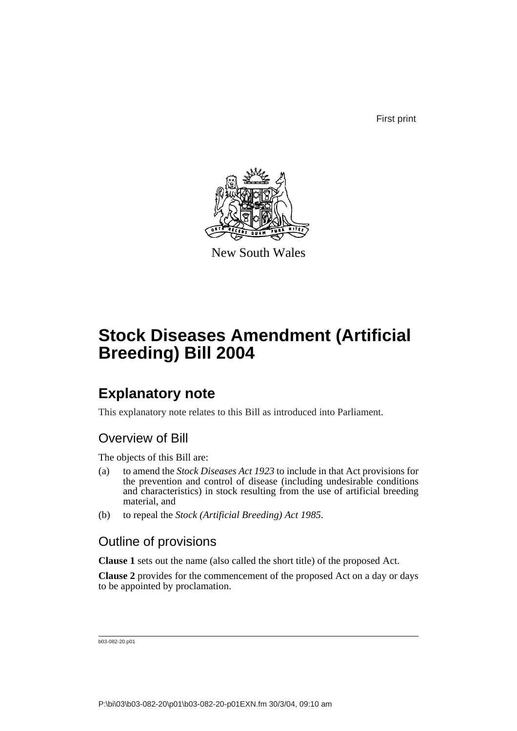First print



New South Wales

# **Stock Diseases Amendment (Artificial Breeding) Bill 2004**

## **Explanatory note**

This explanatory note relates to this Bill as introduced into Parliament.

### Overview of Bill

The objects of this Bill are:

- (a) to amend the *Stock Diseases Act 1923* to include in that Act provisions for the prevention and control of disease (including undesirable conditions and characteristics) in stock resulting from the use of artificial breeding material, and
- (b) to repeal the *Stock (Artificial Breeding) Act 1985*.

### Outline of provisions

**Clause 1** sets out the name (also called the short title) of the proposed Act.

**Clause 2** provides for the commencement of the proposed Act on a day or days to be appointed by proclamation.

b03-082-20.p01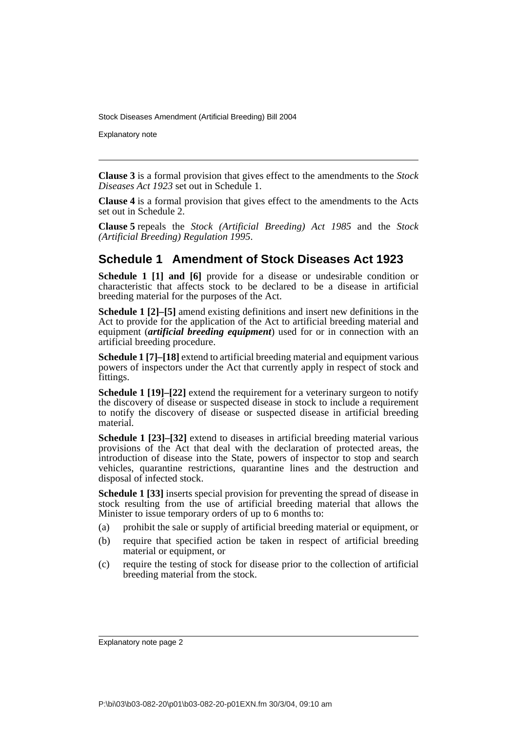Explanatory note

**Clause 3** is a formal provision that gives effect to the amendments to the *Stock Diseases Act 1923* set out in Schedule 1.

**Clause 4** is a formal provision that gives effect to the amendments to the Acts set out in Schedule 2.

**Clause 5** repeals the *Stock (Artificial Breeding) Act 1985* and the *Stock (Artificial Breeding) Regulation 1995*.

#### **Schedule 1 Amendment of Stock Diseases Act 1923**

**Schedule 1 [1] and [6]** provide for a disease or undesirable condition or characteristic that affects stock to be declared to be a disease in artificial breeding material for the purposes of the Act.

**Schedule 1 [2]–[5]** amend existing definitions and insert new definitions in the Act to provide for the application of the Act to artificial breeding material and equipment (*artificial breeding equipment*) used for or in connection with an artificial breeding procedure.

**Schedule 1 [7]–[18]** extend to artificial breeding material and equipment various powers of inspectors under the Act that currently apply in respect of stock and fittings.

**Schedule 1 [19]–[22]** extend the requirement for a veterinary surgeon to notify the discovery of disease or suspected disease in stock to include a requirement to notify the discovery of disease or suspected disease in artificial breeding material.

**Schedule 1 [23]–[32]** extend to diseases in artificial breeding material various provisions of the Act that deal with the declaration of protected areas, the introduction of disease into the State, powers of inspector to stop and search vehicles, quarantine restrictions, quarantine lines and the destruction and disposal of infected stock.

**Schedule 1 [33]** inserts special provision for preventing the spread of disease in stock resulting from the use of artificial breeding material that allows the Minister to issue temporary orders of up to 6 months to:

- (a) prohibit the sale or supply of artificial breeding material or equipment, or
- (b) require that specified action be taken in respect of artificial breeding material or equipment, or
- (c) require the testing of stock for disease prior to the collection of artificial breeding material from the stock.

Explanatory note page 2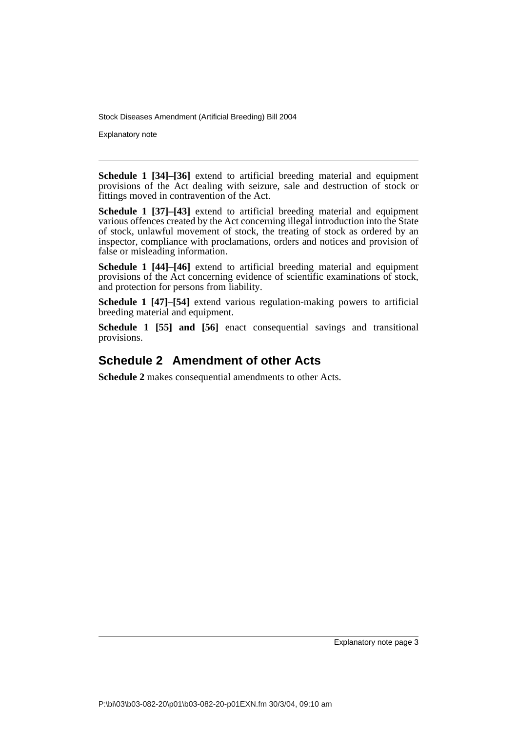Explanatory note

**Schedule 1 [34]–[36]** extend to artificial breeding material and equipment provisions of the Act dealing with seizure, sale and destruction of stock or fittings moved in contravention of the Act.

**Schedule 1 [37]–[43]** extend to artificial breeding material and equipment various offences created by the Act concerning illegal introduction into the State of stock, unlawful movement of stock, the treating of stock as ordered by an inspector, compliance with proclamations, orders and notices and provision of false or misleading information.

**Schedule 1 [44]–[46]** extend to artificial breeding material and equipment provisions of the Act concerning evidence of scientific examinations of stock, and protection for persons from liability.

**Schedule 1 [47]–[54]** extend various regulation-making powers to artificial breeding material and equipment.

**Schedule 1 [55] and [56]** enact consequential savings and transitional provisions.

### **Schedule 2 Amendment of other Acts**

**Schedule 2** makes consequential amendments to other Acts.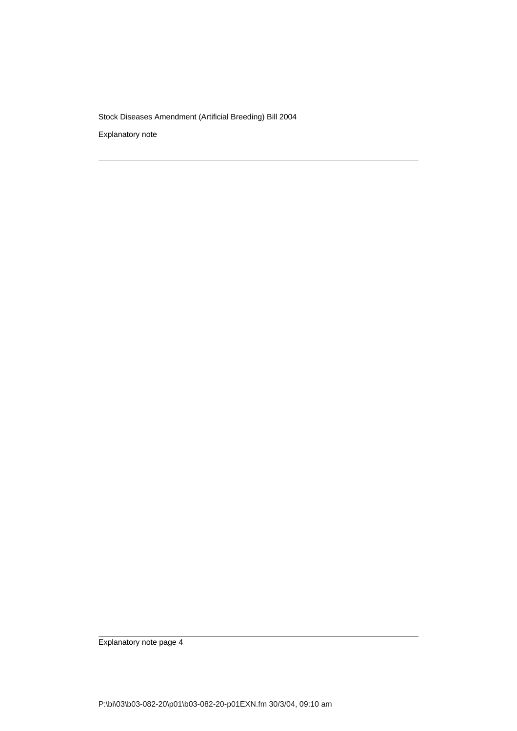Explanatory note

Explanatory note page 4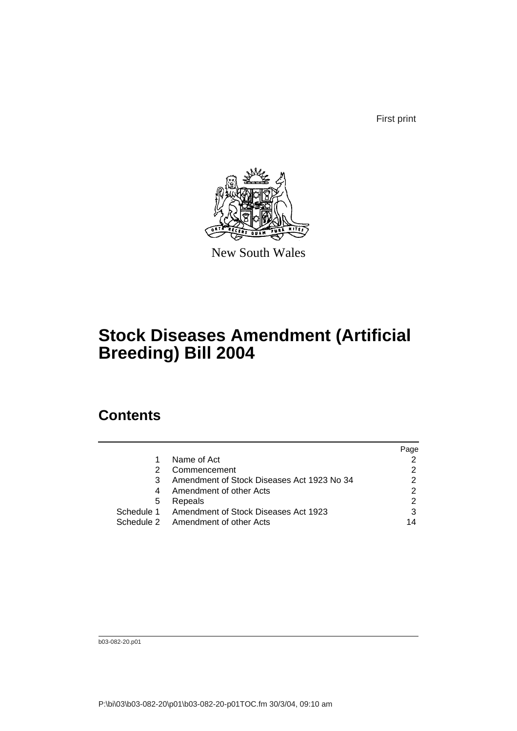First print



New South Wales

# **Stock Diseases Amendment (Artificial Breeding) Bill 2004**

### **Contents**

|             |                                                 | Page |
|-------------|-------------------------------------------------|------|
|             | Name of Act                                     |      |
|             | Commencement                                    | 2    |
|             | Amendment of Stock Diseases Act 1923 No 34      | 2    |
| 4           | Amendment of other Acts                         | 2    |
| $\mathbf b$ | Repeals                                         | 2    |
|             | Schedule 1 Amendment of Stock Diseases Act 1923 | 3    |
|             | Schedule 2 Amendment of other Acts              | 14   |
|             |                                                 |      |

b03-082-20.p01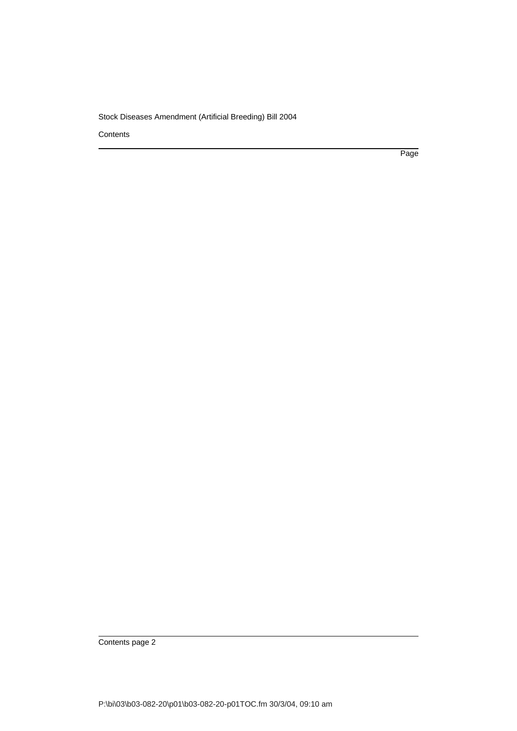**Contents** 

Page

Contents page 2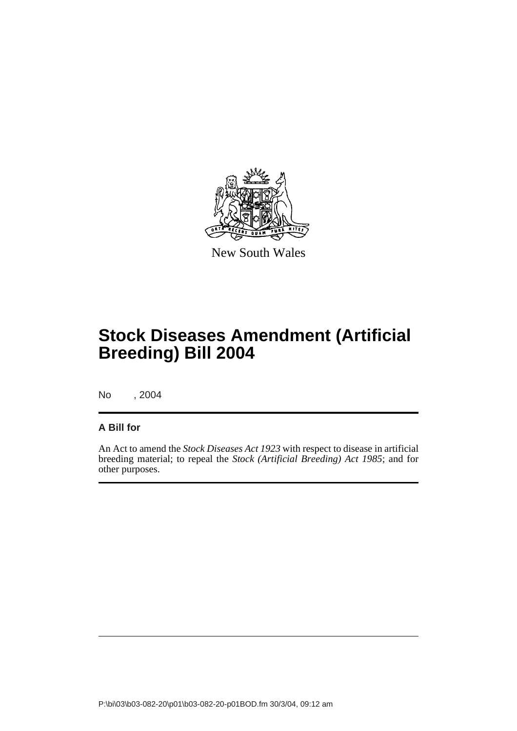

New South Wales

# **Stock Diseases Amendment (Artificial Breeding) Bill 2004**

No , 2004

#### **A Bill for**

An Act to amend the *Stock Diseases Act 1923* with respect to disease in artificial breeding material; to repeal the *Stock (Artificial Breeding) Act 1985*; and for other purposes.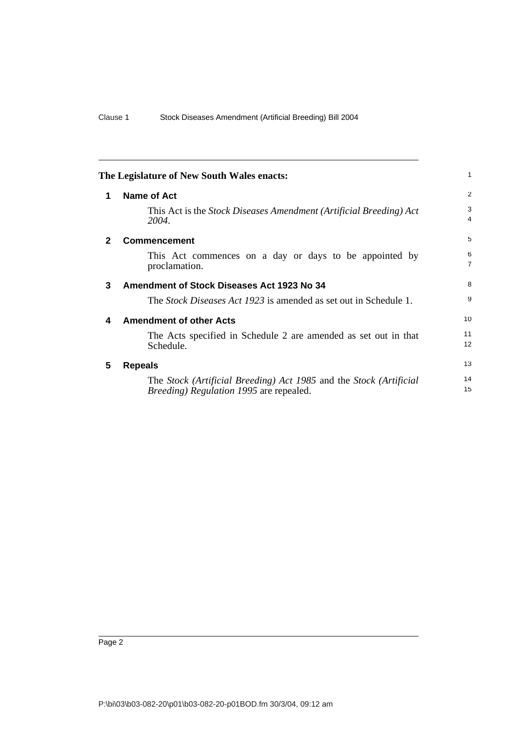<span id="page-7-4"></span><span id="page-7-3"></span><span id="page-7-2"></span><span id="page-7-1"></span><span id="page-7-0"></span>

|              | The Legislature of New South Wales enacts:                                                                                   | 1                   |
|--------------|------------------------------------------------------------------------------------------------------------------------------|---------------------|
| 1            | Name of Act                                                                                                                  | 2                   |
|              | This Act is the Stock Diseases Amendment (Artificial Breeding) Act<br>2004.                                                  | 3<br>$\overline{4}$ |
| $\mathbf{2}$ | <b>Commencement</b>                                                                                                          | 5                   |
|              | This Act commences on a day or days to be appointed by<br>proclamation.                                                      | 6<br>$\overline{7}$ |
| 3            | Amendment of Stock Diseases Act 1923 No 34                                                                                   | 8                   |
|              | The <i>Stock Diseases Act 1923</i> is amended as set out in Schedule 1.                                                      | 9                   |
| 4            | <b>Amendment of other Acts</b>                                                                                               | 10                  |
|              | The Acts specified in Schedule 2 are amended as set out in that<br>Schedule.                                                 | 11<br>12            |
| 5            | <b>Repeals</b>                                                                                                               | 13                  |
|              | The Stock (Artificial Breeding) Act 1985 and the Stock (Artificial<br><i>Breeding</i> ) <i>Regulation 1995</i> are repealed. | 14<br>15            |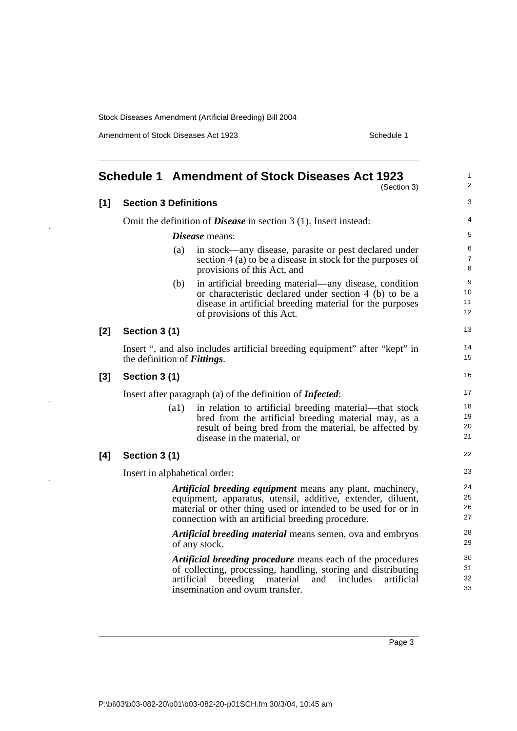Amendment of Stock Diseases Act 1923 Schedule 1

l.

 $\bar{z}$ 

<span id="page-8-0"></span>

|       |                                     |                    | <b>Schedule 1 Amendment of Stock Diseases Act 1923</b><br>(Section 3)                                                                                                                                                                          | $\mathbf{1}$<br>2        |
|-------|-------------------------------------|--------------------|------------------------------------------------------------------------------------------------------------------------------------------------------------------------------------------------------------------------------------------------|--------------------------|
| [1]   | <b>Section 3 Definitions</b>        |                    |                                                                                                                                                                                                                                                | 3                        |
|       |                                     |                    | Omit the definition of <b>Disease</b> in section $3(1)$ . Insert instead:                                                                                                                                                                      | 4                        |
|       |                                     |                    | Disease means:                                                                                                                                                                                                                                 | 5                        |
|       |                                     | (a)                | in stock—any disease, parasite or pest declared under<br>section 4 (a) to be a disease in stock for the purposes of<br>provisions of this Act, and                                                                                             | 6<br>$\overline{7}$<br>8 |
|       |                                     | (b)                | in artificial breeding material—any disease, condition<br>or characteristic declared under section 4 (b) to be a<br>disease in artificial breeding material for the purposes<br>of provisions of this Act.                                     | 9<br>10<br>11<br>12      |
| [2]   | Section 3 (1)                       |                    |                                                                                                                                                                                                                                                | 13                       |
|       | the definition of <b>Fittings</b> . |                    | Insert ", and also includes artificial breeding equipment" after "kept" in                                                                                                                                                                     | 14<br>15                 |
| $[3]$ | Section 3 (1)                       |                    |                                                                                                                                                                                                                                                | 16                       |
|       |                                     |                    | Insert after paragraph (a) of the definition of <i>Infected</i> :                                                                                                                                                                              | 17                       |
|       |                                     | $\left( a1\right)$ | in relation to artificial breeding material—that stock<br>bred from the artificial breeding material may, as a<br>result of being bred from the material, be affected by<br>disease in the material, or                                        | 18<br>19<br>20<br>21     |
| [4]   | Section 3 (1)                       |                    |                                                                                                                                                                                                                                                | 22                       |
|       | Insert in alphabetical order:       |                    |                                                                                                                                                                                                                                                | 23                       |
|       |                                     |                    | Artificial breeding equipment means any plant, machinery,<br>equipment, apparatus, utensil, additive, extender, diluent,<br>material or other thing used or intended to be used for or in<br>connection with an artificial breeding procedure. | 24<br>25<br>26<br>27     |
|       |                                     |                    | <b>Artificial breeding material means semen, ova and embryos</b><br>of any stock.                                                                                                                                                              | 28<br>29                 |
|       |                                     | artificial         | Artificial breeding procedure means each of the procedures<br>of collecting, processing, handling, storing and distributing<br>breeding<br>includes<br>artificial<br>material<br>and<br>insemination and ovum transfer.                        | 30<br>31<br>32<br>33     |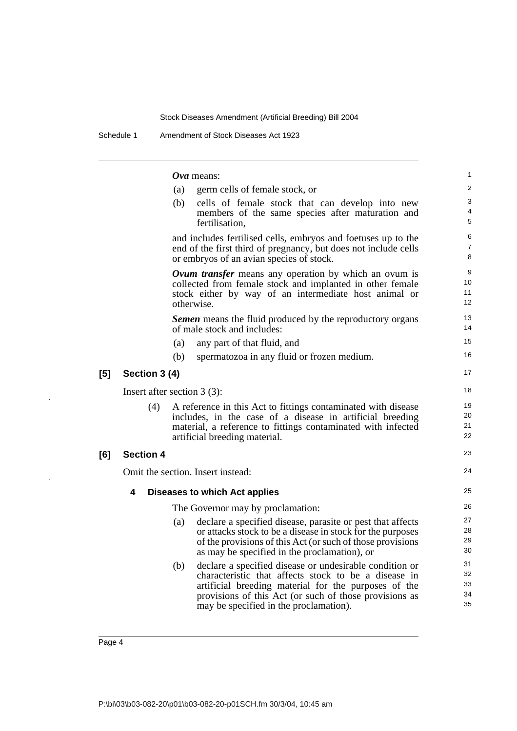Schedule 1 Amendment of Stock Diseases Act 1923

*Ova* means: (a) germ cells of female stock, or (b) cells of female stock that can develop into new members of the same species after maturation and fertilisation, and includes fertilised cells, embryos and foetuses up to the end of the first third of pregnancy, but does not include cells or embryos of an avian species of stock. *Ovum transfer* means any operation by which an ovum is collected from female stock and implanted in other female stock either by way of an intermediate host animal or otherwise. *Semen* means the fluid produced by the reproductory organs of male stock and includes: (a) any part of that fluid, and (b) spermatozoa in any fluid or frozen medium. **[5] Section 3 (4)** Insert after section 3 (3): (4) A reference in this Act to fittings contaminated with disease includes, in the case of a disease in artificial breeding material, a reference to fittings contaminated with infected artificial breeding material. **[6] Section 4** Omit the section. Insert instead: **4 Diseases to which Act applies** The Governor may by proclamation: (a) declare a specified disease, parasite or pest that affects or attacks stock to be a disease in stock for the purposes of the provisions of this Act (or such of those provisions as may be specified in the proclamation), or (b) declare a specified disease or undesirable condition or characteristic that affects stock to be a disease in artificial breeding material for the purposes of the provisions of this Act (or such of those provisions as may be specified in the proclamation). 1  $\mathfrak{p}$ 3 4 5 6 7 8 9 10 11 12 13 14 15 16 17 18 19 20 21 22 23 24 25 26 27 28 29 30 31 32 33 34 35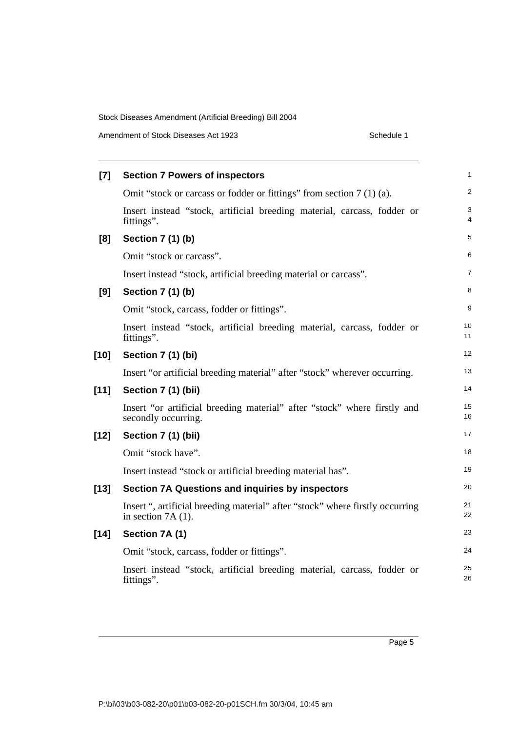| Amendment of Stock Diseases Act 1923 | Schedule 1 |
|--------------------------------------|------------|
|--------------------------------------|------------|

| $[7]$  | <b>Section 7 Powers of inspectors</b>                                                                 |
|--------|-------------------------------------------------------------------------------------------------------|
|        | Omit "stock or carcass or fodder or fittings" from section 7 (1) (a).                                 |
|        | Insert instead "stock, artificial breeding material, carcass, fodder or<br>fittings".                 |
| [8]    | Section 7 (1) (b)                                                                                     |
|        | Omit "stock or carcass".                                                                              |
|        | Insert instead "stock, artificial breeding material or carcass".                                      |
| [9]    | Section 7 (1) (b)                                                                                     |
|        | Omit "stock, carcass, fodder or fittings".                                                            |
|        | Insert instead "stock, artificial breeding material, carcass, fodder or<br>fittings".                 |
| [10]   | Section 7 (1) (bi)                                                                                    |
|        | Insert "or artificial breeding material" after "stock" wherever occurring.                            |
| $[11]$ | Section 7 (1) (bii)                                                                                   |
|        | Insert "or artificial breeding material" after "stock" where firstly and<br>secondly occurring.       |
| [12]   | Section 7 (1) (bii)                                                                                   |
|        | Omit "stock have".                                                                                    |
|        | Insert instead "stock or artificial breeding material has".                                           |
| $[13]$ | <b>Section 7A Questions and inquiries by inspectors</b>                                               |
|        | Insert ", artificial breeding material" after "stock" where firstly occurring<br>in section $7A(1)$ . |
| $[14]$ | Section 7A (1)                                                                                        |
|        | Omit "stock, carcass, fodder or fittings".                                                            |
|        | Insert instead "stock, artificial breeding material, carcass, fodder or<br>fittings".                 |
|        |                                                                                                       |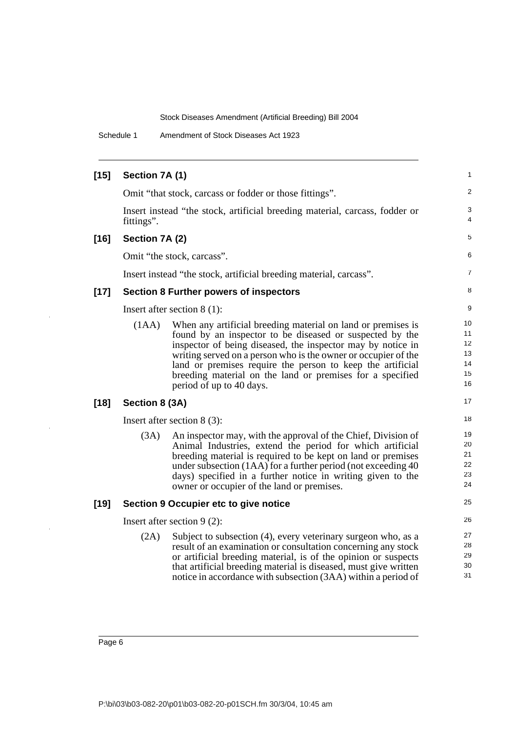Schedule 1 Amendment of Stock Diseases Act 1923

#### **[15] Section 7A (1)** Omit "that stock, carcass or fodder or those fittings". Insert instead "the stock, artificial breeding material, carcass, fodder or fittings". **[16] Section 7A (2)** Omit "the stock, carcass". Insert instead "the stock, artificial breeding material, carcass". **[17] Section 8 Further powers of inspectors** Insert after section 8 (1): (1AA) When any artificial breeding material on land or premises is found by an inspector to be diseased or suspected by the inspector of being diseased, the inspector may by notice in writing served on a person who is the owner or occupier of the land or premises require the person to keep the artificial breeding material on the land or premises for a specified period of up to 40 days. **[18] Section 8 (3A)** Insert after section 8 (3): (3A) An inspector may, with the approval of the Chief, Division of Animal Industries, extend the period for which artificial breeding material is required to be kept on land or premises under subsection (1AA) for a further period (not exceeding 40 days) specified in a further notice in writing given to the owner or occupier of the land or premises. **[19] Section 9 Occupier etc to give notice** Insert after section 9 (2): (2A) Subject to subsection (4), every veterinary surgeon who, as a result of an examination or consultation concerning any stock or artificial breeding material, is of the opinion or suspects that artificial breeding material is diseased, must give written notice in accordance with subsection (3AA) within a period of 1  $\mathfrak{p}$ 3 4 5 6 7 8 9 10 11 12 13 14 15 16 17 18 19 20 21 22 23 24 25 26 27 28 29 30 31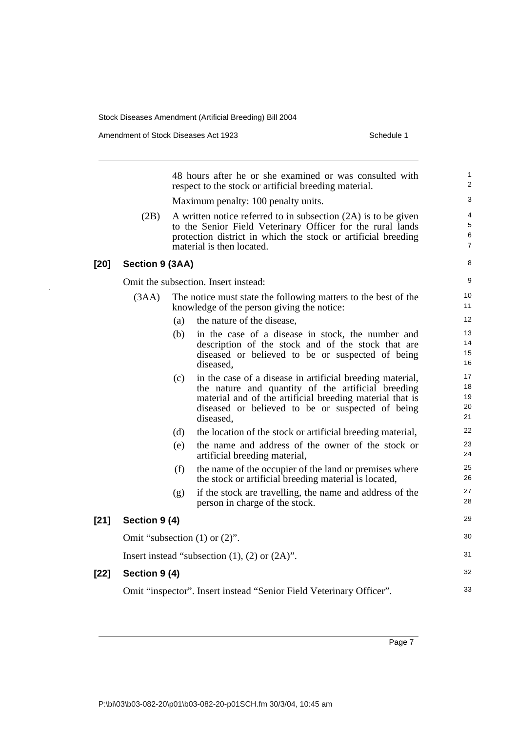Amendment of Stock Diseases Act 1923 Schedule 1

|        |                 |     | 48 hours after he or she examined or was consulted with<br>respect to the stock or artificial breeding material.                                                                                                                             | 1<br>$\overline{c}$        |
|--------|-----------------|-----|----------------------------------------------------------------------------------------------------------------------------------------------------------------------------------------------------------------------------------------------|----------------------------|
|        |                 |     | Maximum penalty: 100 penalty units.                                                                                                                                                                                                          | 3                          |
|        | (2B)            |     | A written notice referred to in subsection (2A) is to be given<br>to the Senior Field Veterinary Officer for the rural lands<br>protection district in which the stock or artificial breeding<br>material is then located.                   | 4<br>5<br>6<br>7           |
| $[20]$ | Section 9 (3AA) |     |                                                                                                                                                                                                                                              | 8                          |
|        |                 |     | Omit the subsection. Insert instead:                                                                                                                                                                                                         | 9                          |
|        | (3AA)           |     | The notice must state the following matters to the best of the<br>knowledge of the person giving the notice:                                                                                                                                 | 10<br>11                   |
|        |                 | (a) | the nature of the disease,                                                                                                                                                                                                                   | 12                         |
|        |                 | (b) | in the case of a disease in stock, the number and<br>description of the stock and of the stock that are<br>diseased or believed to be or suspected of being<br>diseased.                                                                     | 13<br>14<br>15<br>16       |
|        |                 | (c) | in the case of a disease in artificial breeding material,<br>the nature and quantity of the artificial breeding<br>material and of the artificial breeding material that is<br>diseased or believed to be or suspected of being<br>diseased, | 17<br>18<br>19<br>20<br>21 |
|        |                 | (d) | the location of the stock or artificial breeding material,                                                                                                                                                                                   | 22                         |
|        |                 | (e) | the name and address of the owner of the stock or<br>artificial breeding material,                                                                                                                                                           | 23<br>24                   |
|        |                 | (f) | the name of the occupier of the land or premises where<br>the stock or artificial breeding material is located,                                                                                                                              | 25<br>26                   |
|        |                 | (g) | if the stock are travelling, the name and address of the<br>person in charge of the stock.                                                                                                                                                   | 27<br>28                   |
| $[21]$ | Section 9 (4)   |     |                                                                                                                                                                                                                                              | 29                         |
|        |                 |     | Omit "subsection $(1)$ or $(2)$ ".                                                                                                                                                                                                           | 30                         |
|        |                 |     | Insert instead "subsection $(1)$ , $(2)$ or $(2A)$ ".                                                                                                                                                                                        | 31                         |
| $[22]$ | Section 9 (4)   |     |                                                                                                                                                                                                                                              | 32                         |
|        |                 |     | Omit "inspector". Insert instead "Senior Field Veterinary Officer".                                                                                                                                                                          | 33                         |
|        |                 |     |                                                                                                                                                                                                                                              |                            |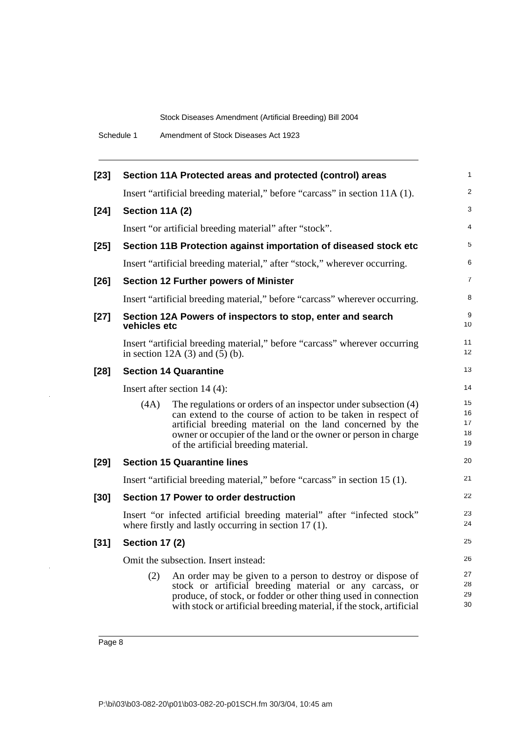Schedule 1 Amendment of Stock Diseases Act 1923

| $[23]$ |                                | Section 11A Protected areas and protected (control) areas                                                                                                                                                                                                                                             | $\mathbf{1}$               |
|--------|--------------------------------|-------------------------------------------------------------------------------------------------------------------------------------------------------------------------------------------------------------------------------------------------------------------------------------------------------|----------------------------|
|        |                                | Insert "artificial breeding material," before "carcass" in section 11A (1).                                                                                                                                                                                                                           | 2                          |
| $[24]$ | Section 11A (2)                |                                                                                                                                                                                                                                                                                                       | 3                          |
|        |                                | Insert "or artificial breeding material" after "stock".                                                                                                                                                                                                                                               | 4                          |
| $[25]$ |                                | Section 11B Protection against importation of diseased stock etc                                                                                                                                                                                                                                      | 5                          |
|        |                                | Insert "artificial breeding material," after "stock," wherever occurring.                                                                                                                                                                                                                             | 6                          |
| $[26]$ |                                | <b>Section 12 Further powers of Minister</b>                                                                                                                                                                                                                                                          | $\overline{7}$             |
|        |                                | Insert "artificial breeding material," before "carcass" wherever occurring.                                                                                                                                                                                                                           | 8                          |
| $[27]$ | vehicles etc                   | Section 12A Powers of inspectors to stop, enter and search                                                                                                                                                                                                                                            | 9<br>10                    |
|        |                                | Insert "artificial breeding material," before "carcass" wherever occurring<br>in section $12A(3)$ and $(5)(b)$ .                                                                                                                                                                                      | 11<br>12                   |
| $[28]$ | <b>Section 14 Quarantine</b>   |                                                                                                                                                                                                                                                                                                       | 13                         |
|        | Insert after section $14(4)$ : |                                                                                                                                                                                                                                                                                                       | 14                         |
|        | (4A)                           | The regulations or orders of an inspector under subsection (4)<br>can extend to the course of action to be taken in respect of<br>artificial breeding material on the land concerned by the<br>owner or occupier of the land or the owner or person in charge<br>of the artificial breeding material. | 15<br>16<br>17<br>18<br>19 |
| $[29]$ |                                | <b>Section 15 Quarantine lines</b>                                                                                                                                                                                                                                                                    | 20                         |
|        |                                | Insert "artificial breeding material," before "carcass" in section 15 (1).                                                                                                                                                                                                                            | 21                         |
| $[30]$ |                                | Section 17 Power to order destruction                                                                                                                                                                                                                                                                 | 22                         |
|        |                                | Insert "or infected artificial breeding material" after "infected stock"<br>where firstly and lastly occurring in section $17(1)$ .                                                                                                                                                                   | 23<br>24                   |
| $[31]$ | <b>Section 17 (2)</b>          |                                                                                                                                                                                                                                                                                                       | 25                         |
|        |                                | Omit the subsection. Insert instead:                                                                                                                                                                                                                                                                  | 26                         |
|        | (2)                            | An order may be given to a person to destroy or dispose of<br>stock or artificial breeding material or any carcass, or<br>produce, of stock, or fodder or other thing used in connection<br>with stock or artificial breeding material, if the stock, artificial                                      | 27<br>28<br>29<br>30       |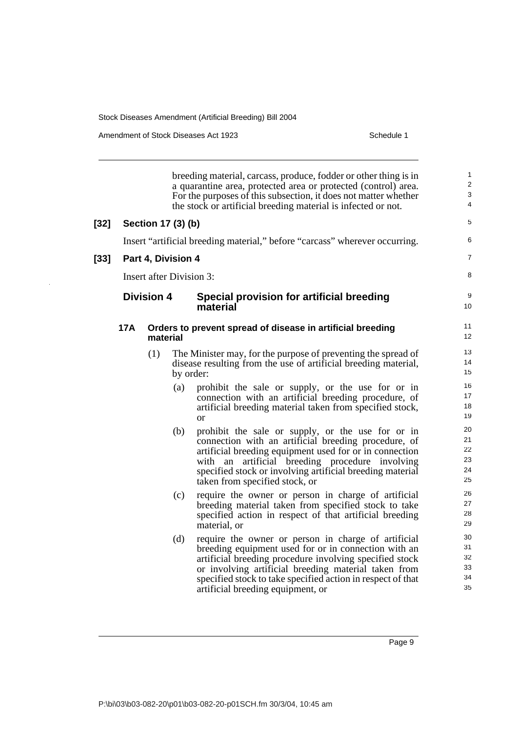Amendment of Stock Diseases Act 1923 Schedule 1

 $\bar{z}$ 

|        |     |                                 |           | breeding material, carcass, produce, fodder or other thing is in<br>a quarantine area, protected area or protected (control) area.<br>For the purposes of this subsection, it does not matter whether<br>the stock or artificial breeding material is infected or not.                                                             | $\mathbf{1}$<br>$\overline{2}$<br>3<br>4 |
|--------|-----|---------------------------------|-----------|------------------------------------------------------------------------------------------------------------------------------------------------------------------------------------------------------------------------------------------------------------------------------------------------------------------------------------|------------------------------------------|
| $[32]$ |     | Section 17 (3) (b)              |           |                                                                                                                                                                                                                                                                                                                                    | 5                                        |
|        |     |                                 |           | Insert "artificial breeding material," before "carcass" wherever occurring.                                                                                                                                                                                                                                                        | 6                                        |
| $[33]$ |     | Part 4, Division 4              |           |                                                                                                                                                                                                                                                                                                                                    | $\overline{7}$                           |
|        |     | <b>Insert after Division 3:</b> |           |                                                                                                                                                                                                                                                                                                                                    | 8                                        |
|        |     | <b>Division 4</b>               |           | Special provision for artificial breeding<br>material                                                                                                                                                                                                                                                                              | 9<br>10                                  |
|        | 17A | material                        |           | Orders to prevent spread of disease in artificial breeding                                                                                                                                                                                                                                                                         | 11<br>12                                 |
|        |     | (1)                             | by order: | The Minister may, for the purpose of preventing the spread of<br>disease resulting from the use of artificial breeding material,                                                                                                                                                                                                   | 13<br>14<br>15                           |
|        |     |                                 | (a)       | prohibit the sale or supply, or the use for or in<br>connection with an artificial breeding procedure, of<br>artificial breeding material taken from specified stock,<br>$\alpha$                                                                                                                                                  | 16<br>17<br>18<br>19                     |
|        |     |                                 | (b)       | prohibit the sale or supply, or the use for or in<br>connection with an artificial breeding procedure, of<br>artificial breeding equipment used for or in connection<br>with an artificial breeding procedure involving<br>specified stock or involving artificial breeding material<br>taken from specified stock, or             | 20<br>21<br>22<br>23<br>24<br>25         |
|        |     |                                 | (c)       | require the owner or person in charge of artificial<br>breeding material taken from specified stock to take<br>specified action in respect of that artificial breeding<br>material, or                                                                                                                                             | 26<br>27<br>28<br>29                     |
|        |     |                                 | (d)       | require the owner or person in charge of artificial<br>breeding equipment used for or in connection with an<br>artificial breeding procedure involving specified stock<br>or involving artificial breeding material taken from<br>specified stock to take specified action in respect of that<br>artificial breeding equipment, or | 30<br>31<br>32<br>33<br>34<br>35         |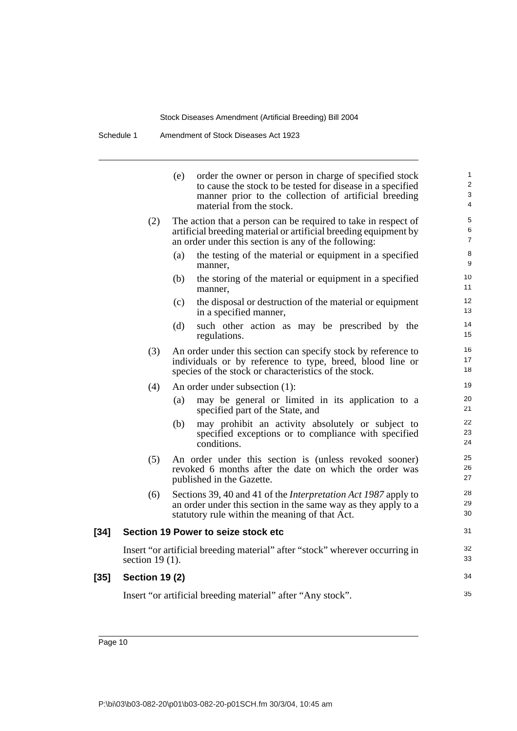|        |                       | (e) | order the owner or person in charge of specified stock<br>to cause the stock to be tested for disease in a specified<br>manner prior to the collection of artificial breeding<br>material from the stock. | $\mathbf{1}$<br>$\overline{2}$<br>3<br>$\overline{4}$ |
|--------|-----------------------|-----|-----------------------------------------------------------------------------------------------------------------------------------------------------------------------------------------------------------|-------------------------------------------------------|
|        | (2)                   |     | The action that a person can be required to take in respect of<br>artificial breeding material or artificial breeding equipment by<br>an order under this section is any of the following:                | 5<br>6<br>$\overline{7}$                              |
|        |                       | (a) | the testing of the material or equipment in a specified<br>manner,                                                                                                                                        | 8<br>9                                                |
|        |                       | (b) | the storing of the material or equipment in a specified<br>manner.                                                                                                                                        | 10<br>11                                              |
|        |                       | (c) | the disposal or destruction of the material or equipment<br>in a specified manner,                                                                                                                        | 12<br>13                                              |
|        |                       | (d) | such other action as may be prescribed by the<br>regulations.                                                                                                                                             | 14<br>15                                              |
|        | (3)                   |     | An order under this section can specify stock by reference to<br>individuals or by reference to type, breed, blood line or<br>species of the stock or characteristics of the stock.                       | 16<br>17<br>18                                        |
|        | (4)                   |     | An order under subsection (1):                                                                                                                                                                            | 19                                                    |
|        |                       | (a) | may be general or limited in its application to a<br>specified part of the State, and                                                                                                                     | 20<br>21                                              |
|        |                       | (b) | may prohibit an activity absolutely or subject to<br>specified exceptions or to compliance with specified<br>conditions.                                                                                  | 22<br>23<br>24                                        |
|        | (5)                   |     | An order under this section is (unless revoked sooner)<br>revoked 6 months after the date on which the order was<br>published in the Gazette.                                                             | 25<br>26<br>27                                        |
|        | (6)                   |     | Sections 39, 40 and 41 of the <i>Interpretation Act 1987</i> apply to<br>an order under this section in the same way as they apply to a<br>statutory rule within the meaning of that Act.                 | 28<br>29<br>30                                        |
| $[34]$ |                       |     | Section 19 Power to seize stock etc                                                                                                                                                                       | 31                                                    |
|        | section $19(1)$ .     |     | Insert "or artificial breeding material" after "stock" wherever occurring in                                                                                                                              | 32<br>33                                              |
| $[35]$ | <b>Section 19 (2)</b> |     |                                                                                                                                                                                                           | 34                                                    |
|        |                       |     | Insert "or artificial breeding material" after "Any stock".                                                                                                                                               | 35                                                    |
|        |                       |     |                                                                                                                                                                                                           |                                                       |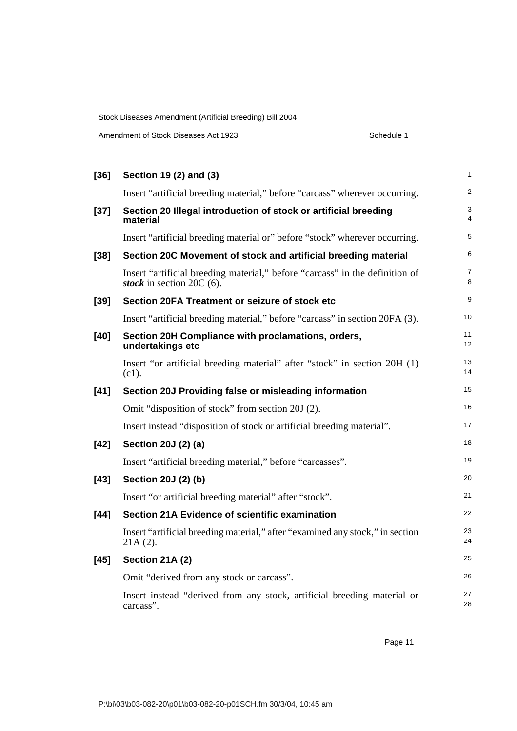| Amendment of Stock Diseases Act 1923 | Schedule 1 |
|--------------------------------------|------------|
|                                      |            |

| $[36]$ | Section 19 (2) and (3)                                                                                       | 1        |
|--------|--------------------------------------------------------------------------------------------------------------|----------|
|        | Insert "artificial breeding material," before "carcass" wherever occurring.                                  | 2        |
| $[37]$ | Section 20 Illegal introduction of stock or artificial breeding<br>material                                  | 3<br>4   |
|        | Insert "artificial breeding material or" before "stock" wherever occurring.                                  | 5        |
| $[38]$ | Section 20C Movement of stock and artificial breeding material                                               | 6        |
|        | Insert "artificial breeding material," before "carcass" in the definition of<br>stock in section 20C $(6)$ . | 7<br>8   |
| $[39]$ | Section 20FA Treatment or seizure of stock etc                                                               | 9        |
|        | Insert "artificial breeding material," before "carcass" in section 20FA (3).                                 | 10       |
| [40]   | Section 20H Compliance with proclamations, orders,<br>undertakings etc                                       | 11<br>12 |
|        | Insert "or artificial breeding material" after "stock" in section 20H (1)<br>$(c1)$ .                        | 13<br>14 |
| [41]   | Section 20J Providing false or misleading information                                                        | 15       |
|        | Omit "disposition of stock" from section 20J (2).                                                            | 16       |
|        | Insert instead "disposition of stock or artificial breeding material".                                       | 17       |
| $[42]$ | Section 20J (2) (a)                                                                                          | 18       |
|        | Insert "artificial breeding material," before "carcasses".                                                   | 19       |
| $[43]$ | Section 20J (2) (b)                                                                                          | 20       |
|        | Insert "or artificial breeding material" after "stock".                                                      | 21       |
| $[44]$ | Section 21A Evidence of scientific examination                                                               | 22       |
|        | Insert "artificial breeding material," after "examined any stock," in section<br>$21A(2)$ .                  | 23<br>24 |
| $[45]$ | Section 21A (2)                                                                                              | 25       |
|        | Omit "derived from any stock or carcass".                                                                    | 26       |
|        | Insert instead "derived from any stock, artificial breeding material or<br>carcass".                         | 27<br>28 |
|        |                                                                                                              |          |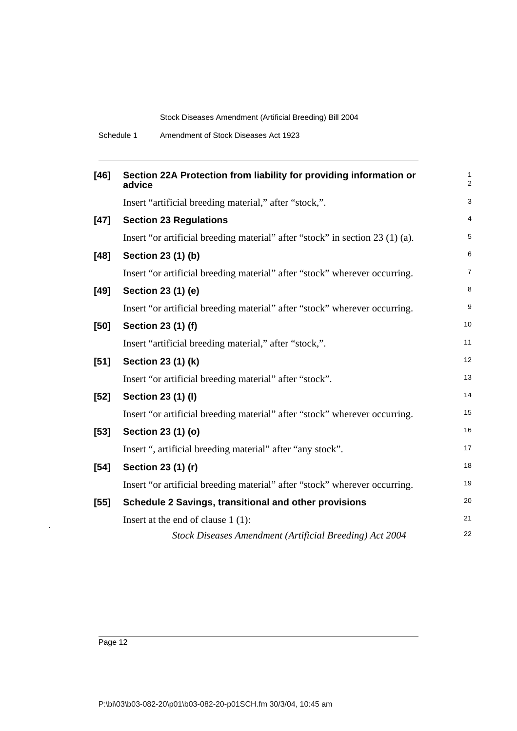| Amendment of Stock Diseases Act 1923<br>Schedule 1 |
|----------------------------------------------------|
|----------------------------------------------------|

| $[46]$ | Section 22A Protection from liability for providing information or<br>advice  | 1<br>$\overline{c}$ |  |
|--------|-------------------------------------------------------------------------------|---------------------|--|
|        | Insert "artificial breeding material," after "stock,".                        | 3                   |  |
| $[47]$ | <b>Section 23 Regulations</b>                                                 | 4                   |  |
|        | Insert "or artificial breeding material" after "stock" in section 23 (1) (a). | 5                   |  |
| $[48]$ | Section 23 (1) (b)                                                            | 6                   |  |
|        | Insert "or artificial breeding material" after "stock" wherever occurring.    | 7                   |  |
| $[49]$ | Section 23 (1) (e)                                                            | 8                   |  |
|        | Insert "or artificial breeding material" after "stock" wherever occurring.    | 9                   |  |
| $[50]$ | Section 23 (1) (f)                                                            | 10                  |  |
|        | Insert "artificial breeding material," after "stock,".                        | 11                  |  |
| $[51]$ | Section 23 (1) (k)                                                            |                     |  |
|        | Insert "or artificial breeding material" after "stock".                       | 13                  |  |
| $[52]$ | Section 23 (1) (I)                                                            | 14                  |  |
|        | Insert "or artificial breeding material" after "stock" wherever occurring.    | 15                  |  |
| $[53]$ | Section 23 (1) (o)                                                            | 16                  |  |
|        | Insert ", artificial breeding material" after "any stock".                    | 17                  |  |
| $[54]$ | Section 23 (1) (r)                                                            | 18                  |  |
|        | Insert "or artificial breeding material" after "stock" wherever occurring.    | 19                  |  |
| $[55]$ | Schedule 2 Savings, transitional and other provisions                         | 20                  |  |
|        | Insert at the end of clause $1(1)$ :                                          | 21                  |  |
|        | Stock Diseases Amendment (Artificial Breeding) Act 2004                       | 22                  |  |

Page 12

 $\ddot{\phantom{0}}$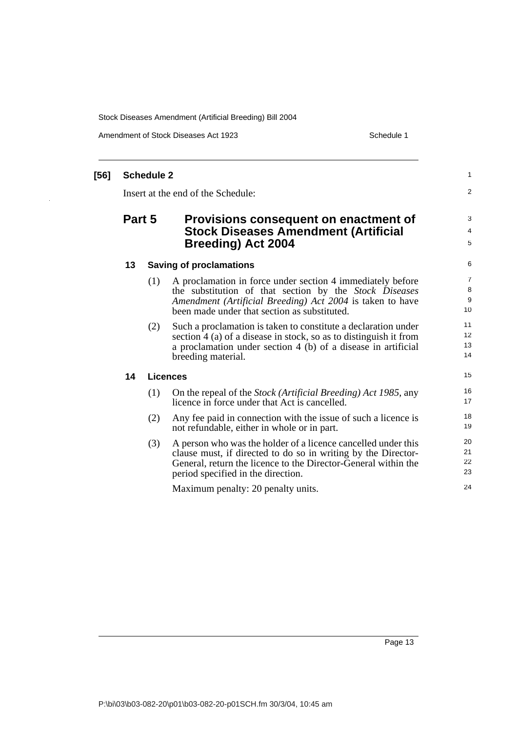Amendment of Stock Diseases Act 1923 Schedule 1

| [56] |        | <b>Schedule 2</b> |                                                                                                                                                                                                                                        | 1                          |
|------|--------|-------------------|----------------------------------------------------------------------------------------------------------------------------------------------------------------------------------------------------------------------------------------|----------------------------|
|      |        |                   | Insert at the end of the Schedule:                                                                                                                                                                                                     | $\overline{2}$             |
|      | Part 5 |                   | Provisions consequent on enactment of                                                                                                                                                                                                  | 3                          |
|      |        |                   | <b>Stock Diseases Amendment (Artificial</b>                                                                                                                                                                                            | $\overline{4}$             |
|      |        |                   | <b>Breeding) Act 2004</b>                                                                                                                                                                                                              | 5                          |
|      | 13     |                   | <b>Saving of proclamations</b>                                                                                                                                                                                                         | 6                          |
|      |        | (1)               | A proclamation in force under section 4 immediately before<br>the substitution of that section by the Stock Diseases<br>Amendment (Artificial Breeding) Act 2004 is taken to have<br>been made under that section as substituted.      | 7<br>8<br>9<br>10          |
|      |        | (2)               | Such a proclamation is taken to constitute a declaration under<br>section 4 (a) of a disease in stock, so as to distinguish it from<br>a proclamation under section 4 (b) of a disease in artificial<br>breeding material.             | 11<br>12<br>13<br>14       |
|      | 14     |                   | <b>Licences</b>                                                                                                                                                                                                                        | 15                         |
|      |        | (1)               | On the repeal of the <i>Stock</i> ( <i>Artificial Breeding</i> ) <i>Act 1985</i> , any<br>licence in force under that Act is cancelled.                                                                                                | 16<br>17                   |
|      |        | (2)               | Any fee paid in connection with the issue of such a licence is<br>not refundable, either in whole or in part.                                                                                                                          | 18<br>19                   |
|      |        | (3)               | A person who was the holder of a licence cancelled under this<br>clause must, if directed to do so in writing by the Director-<br>General, return the licence to the Director-General within the<br>period specified in the direction. | 20<br>21<br>22<br>23<br>24 |
|      |        |                   | Maximum penalty: 20 penalty units.                                                                                                                                                                                                     |                            |